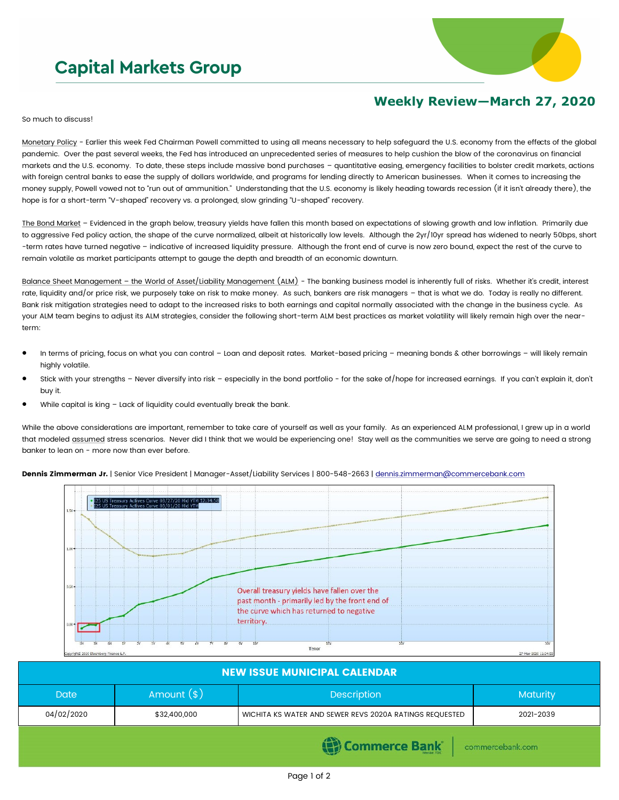## **Capital Markets Group**



## **Weekly Review—March 27, 2020**

So much to discuss!

Monetary Policy - Earlier this week Fed Chairman Powell committed to using all means necessary to help safeguard the U.S. economy from the effects of the global pandemic. Over the past several weeks, the Fed has introduced an unprecedented series of measures to help cushion the blow of the coronavirus on financial markets and the U.S. economy. To date, these steps include massive bond purchases – quantitative easing, emergency facilities to bolster credit markets, actions with foreign central banks to ease the supply of dollars worldwide, and programs for lending directly to American businesses. When it comes to increasing the money supply, Powell vowed not to "run out of ammunition." Understanding that the U.S. economy is likely heading towards recession (if it isn't already there), the hope is for a short-term "V-shaped" recovery vs. a prolonged, slow grinding "U-shaped" recovery.

The Bond Market - Evidenced in the graph below, treasury yields have fallen this month based on expectations of slowing growth and low inflation. Primarily due to aggressive Fed policy action, the shape of the curve normalized, albeit at historically low levels. Although the 2yr/10yr spread has widened to nearly 50bps, short -term rates have turned negative – indicative of increased liquidity pressure. Although the front end of curve is now zero bound, expect the rest of the curve to remain volatile as market participants attempt to gauge the depth and breadth of an economic downturn.

Balance Sheet Management - the World of Asset/Liability Management (ALM) - The banking business model is inherently full of risks. Whether it's credit, interest rate, liquidity and/or price risk, we purposely take on risk to make money. As such, bankers are risk managers - that is what we do. Today is really no different. Bank risk mitigation strategies need to adapt to the increased risks to both earnings and capital normally associated with the change in the business cycle. As your ALM team begins to adjust its ALM strategies, consider the following short-term ALM best practices as market volatility will likely remain high over the nearterm:

- In terms of pricing, focus on what you can control Loan and deposit rates. Market-based pricing meaning bonds & other borrowings will likely remain highly volatile.
- Stick with your strengths Never diversify into risk especially in the bond portfolio for the sake of/hope for increased earnings. If you can't explain it, don't buy it.
- While capital is king Lack of liquidity could eventually break the bank.

While the above considerations are important, remember to take care of yourself as well as your family. As an experienced ALM professional, I grew up in a world that modeled assumed stress scenarios. Never did I think that we would be experiencing one! Stay well as the communities we serve are going to need a strong banker to lean on - more now than ever before.

Dennis Zimmerman Jr. | Senior Vice President | Manager-Asset/Liability Services | 800-548-2663 | [dennis.zimmerman@commercebank.com](mailto:Dennis.Zimmerman@commercebank.com)



| <b>NEW ISSUE MUNICIPAL CALENDAR</b>   |              |                                                         |           |  |  |  |
|---------------------------------------|--------------|---------------------------------------------------------|-----------|--|--|--|
| <b>Date</b>                           | Amount $(*)$ | Description                                             | Maturity  |  |  |  |
| 04/02/2020                            | \$32,400,000 | WICHITA KS WATER AND SEWER REVS 2020A RATINGS REQUESTED | 2021-2039 |  |  |  |
| (S) Commerce Bank<br>commercebank.com |              |                                                         |           |  |  |  |